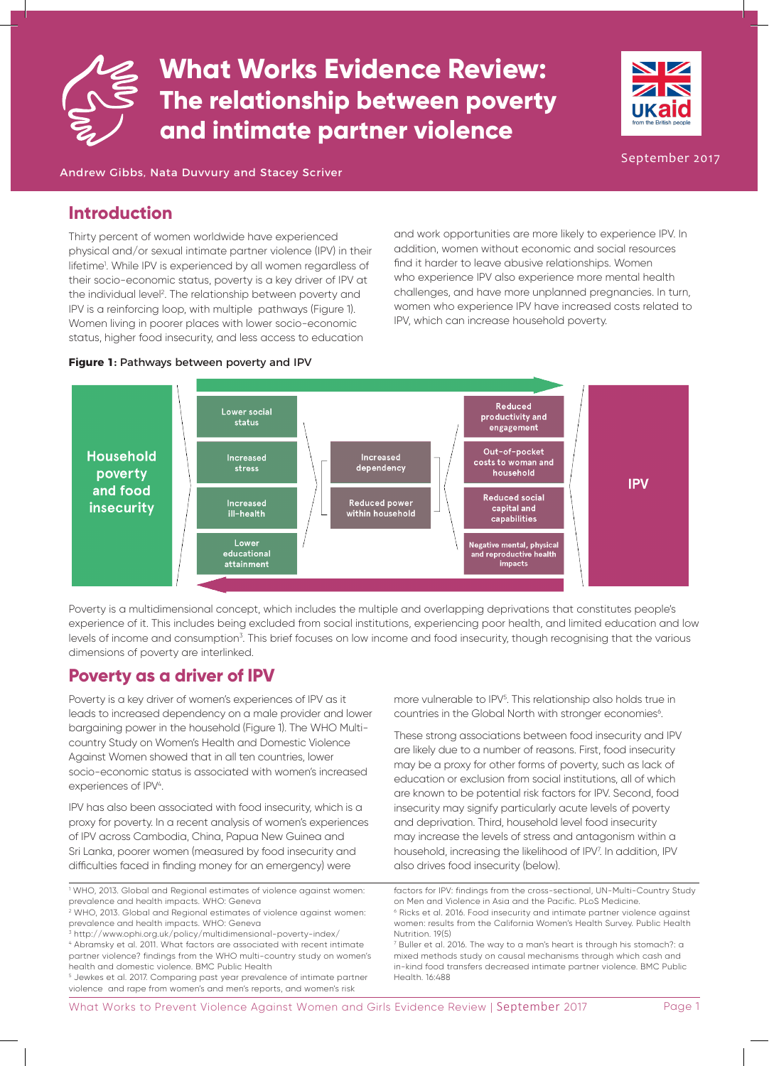



September 2017

Andrew Gibbs, Nata Duvvury and Stacey Scriver

## **Introduction**

Thirty percent of women worldwide have experienced physical and/or sexual intimate partner violence (IPV) in their lifetime<sup>1</sup>. While IPV is experienced by all women regardless of their socio-economic status, poverty is a key driver of IPV at the individual level<sup>2</sup>. The relationship between poverty and IPV is a reinforcing loop, with multiple pathways (Figure 1). Women living in poorer places with lower socio-economic status, higher food insecurity, and less access to education

find it harder to leave abusive relationships. Women who experience IPV also experience more mental health challenges, and have more unplanned pregnancies. In turn, women who experience IPV have increased costs related to IPV, which can increase household poverty.

and work opportunities are more likely to experience IPV. In addition, women without economic and social resources

### **Figure 1:** Pathways between poverty and IPV



Poverty is a multidimensional concept, which includes the multiple and overlapping deprivations that constitutes people's experience of it. This includes being excluded from social institutions, experiencing poor health, and limited education and low levels of income and consumption<sup>3</sup>. This brief focuses on low income and food insecurity, though recognising that the various dimensions of poverty are interlinked.

## **Poverty as a driver of IPV**

Poverty is a key driver of women's experiences of IPV as it leads to increased dependency on a male provider and lower bargaining power in the household (Figure 1). The WHO Multicountry Study on Women's Health and Domestic Violence Against Women showed that in all ten countries, lower socio-economic status is associated with women's increased experiences of IPV<sup>4</sup>.

IPV has also been associated with food insecurity, which is a proxy for poverty. In a recent analysis of women's experiences of IPV across Cambodia, China, Papua New Guinea and Sri Lanka, poorer women (measured by food insecurity and difficulties faced in finding money for an emergency) were

3 http://www.ophi.org.uk/policy/multidimensional-poverty-index/

4 Abramsky et al. 2011. What factors are associated with recent intimate partner violence? findings from the WHO multi-country study on women's health and domestic violence. BMC Public Health

5 Jewkes et al. 2017. Comparing past year prevalence of intimate partner violence and rape from women's and men's reports, and women's risk

more vulnerable to IPV<sup>5</sup>. This relationship also holds true in countries in the Global North with stronger economies<sup>6</sup>.

These strong associations between food insecurity and IPV are likely due to a number of reasons. First, food insecurity may be a proxy for other forms of poverty, such as lack of education or exclusion from social institutions, all of which are known to be potential risk factors for IPV. Second, food insecurity may signify particularly acute levels of poverty and deprivation. Third, household level food insecurity may increase the levels of stress and antagonism within a household, increasing the likelihood of IPV<sup>7</sup>. In addition, IPV also drives food insecurity (below).

<sup>1</sup> WHO, 2013. Global and Regional estimates of violence against women: prevalence and health impacts. WHO: Geneva

<sup>2</sup> WHO, 2013. Global and Regional estimates of violence against women: prevalence and health impacts. WHO: Geneva

factors for IPV: findings from the cross-sectional, UN-Multi-Country Study on Men and Violence in Asia and the Pacific. PLoS Medicine. 6 Ricks et al. 2016. Food insecurity and intimate partner violence against women: results from the California Women's Health Survey. Public Health Nutrition. 19(5)

<sup>7</sup> Buller et al. 2016. The way to a man's heart is through his stomach?: a mixed methods study on causal mechanisms through which cash and in-kind food transfers decreased intimate partner violence. BMC Public Health. 16:488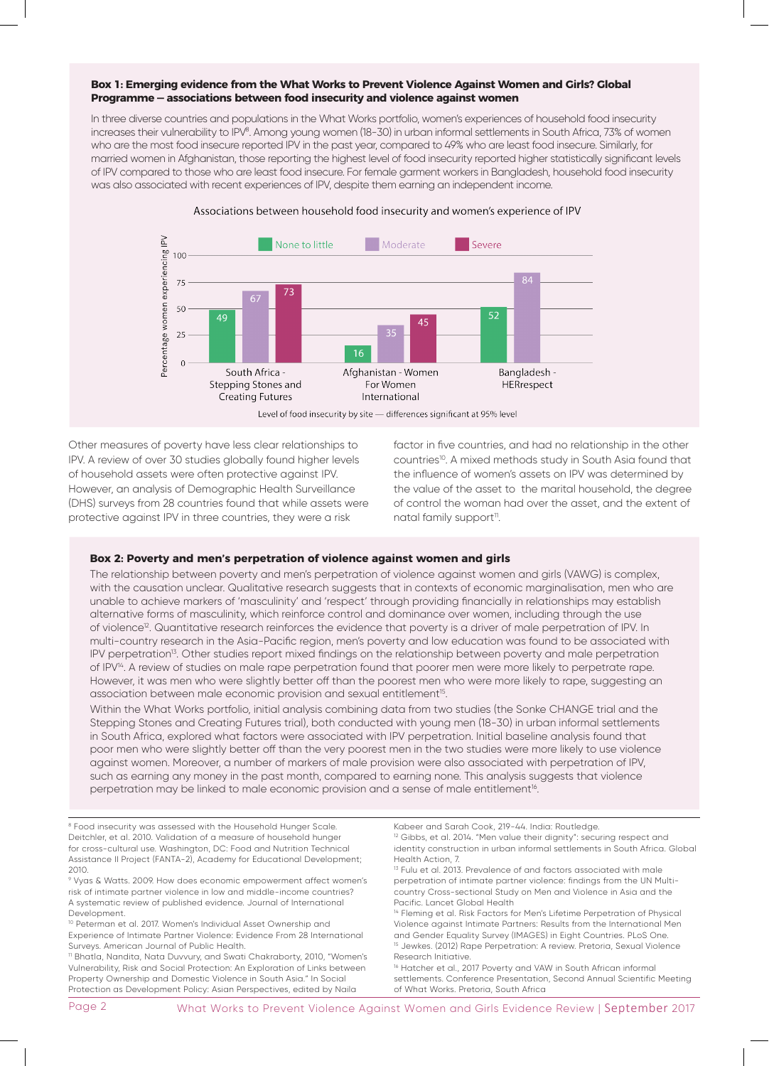#### **Box 1: Emerging evidence from the What Works to Prevent Violence Against Women and Girls? Global Programme — associations between food insecurity and violence against women**

In three diverse countries and populations in the What Works portfolio, women's experiences of household food insecurity increases their vulnerability to IPV®. Among young women (18-30) in urban informal settlements in South Africa, 73% of women who are the most food insecure reported IPV in the past year, compared to 49% who are least food insecure. Similarly, for married women in Afghanistan, those reporting the highest level of food insecurity reported higher statistically significant levels of IPV compared to those who are least food insecure. For female garment workers in Bangladesh, household food insecurity was also associated with recent experiences of IPV, despite them earning an independent income.



Other measures of poverty have less clear relationships to IPV. A review of over 30 studies globally found higher levels of household assets were often protective against IPV. However, an analysis of Demographic Health Surveillance (DHS) surveys from 28 countries found that while assets were protective against IPV in three countries, they were a risk

Property Ownership and Domestic Violence in South Asia." In Social Protection as Development Policy: Asian Perspectives, edited by Naila factor in five countries, and had no relationship in the other countries<sup>10</sup>. A mixed methods study in South Asia found that the influence of women's assets on IPV was determined by the value of the asset to the marital household, the degree of control the woman had over the asset, and the extent of natal family support<sup>11</sup>.

#### **Box 2: Poverty and men's perpetration of violence against women and girls**

The relationship between poverty and men's perpetration of violence against women and girls (VAWG) is complex, with the causation unclear. Qualitative research suggests that in contexts of economic marginalisation, men who are unable to achieve markers of 'masculinity' and 'respect' through providing financially in relationships may establish alternative forms of masculinity, which reinforce control and dominance over women, including through the use of violence<sup>12</sup>. Quantitative research reinforces the evidence that poverty is a driver of male perpetration of IPV. In multi-country research in the Asia-Pacific region, men's poverty and low education was found to be associated with IPV perpetration<sup>13</sup>. Other studies report mixed findings on the relationship between poverty and male perpetration of IPV<sup>14</sup>. A review of studies on male rape perpetration found that poorer men were more likely to perpetrate rape. However, it was men who were slightly better off than the poorest men who were more likely to rape, suggesting an association between male economic provision and sexual entitlement<sup>15</sup>.

Within the What Works portfolio, initial analysis combining data from two studies (the Sonke CHANGE trial and the Stepping Stones and Creating Futures trial), both conducted with young men (18-30) in urban informal settlements in South Africa, explored what factors were associated with IPV perpetration. Initial baseline analysis found that poor men who were slightly better off than the very poorest men in the two studies were more likely to use violence against women. Moreover, a number of markers of male provision were also associated with perpetration of IPV, such as earning any money in the past month, compared to earning none. This analysis suggests that violence perpetration may be linked to male economic provision and a sense of male entitlement<sup>16</sup>.

<sup>8</sup> Food insecurity was assessed with the Household Hunger Scale. Deitchler, et al. 2010. Validation of a measure of household hunger for cross-cultural use. Washington, DC: Food and Nutrition Technical Assistance II Project (FANTA-2), Academy for Educational Development; 2010. 9 Vyas & Watts. 2009. How does economic empowerment affect women's risk of intimate partner violence in low and middle-income countries? A systematic review of published evidence. Journal of International Development. 10 Peterman et al. 2017. Women's Individual Asset Ownership and Experience of Intimate Partner Violence: Evidence From 28 International Surveys. American Journal of Public Health. 11 Bhatla, Nandita, Nata Duvvury, and Swati Chakraborty, 2010, "Women's Vulnerability, Risk and Social Protection: An Exploration of Links between Kabeer and Sarah Cook, 219-44. India: Routledge. <sup>12</sup> Gibbs, et al. 2014. "Men value their dignity": securing respect and identity construction in urban informal settlements in South Africa. Global Health Action, 7. <sup>13</sup> Fulu et al. 2013. Prevalence of and factors associated with male perpetration of intimate partner violence: findings from the UN Multicountry Cross-sectional Study on Men and Violence in Asia and the Pacific. Lancet Global Health <sup>14</sup> Fleming et al. Risk Factors for Men's Lifetime Perpetration of Physical Violence against Intimate Partners: Results from the International Men and Gender Equality Survey (IMAGES) in Eight Countries. PLoS One. <sup>15</sup> Jewkes. (2012) Rape Perpetration: A review. Pretoria, Sexual Violence Research Initiative. <sup>16</sup> Hatcher et al., 2017 Poverty and VAW in South African informal

settlements. Conference Presentation, Second Annual Scientific Meeting of What Works. Pretoria, South Africa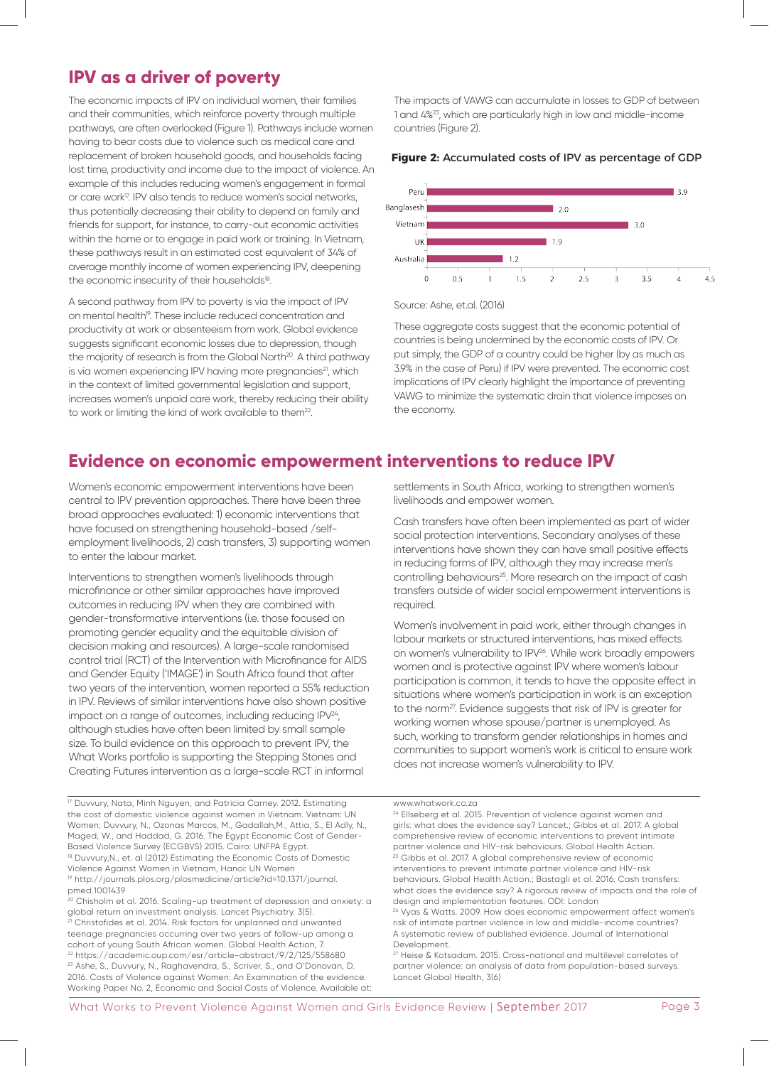## **IPV as a driver of poverty**

The economic impacts of IPV on individual women, their families and their communities, which reinforce poverty through multiple pathways, are often overlooked (Figure 1). Pathways include women having to bear costs due to violence such as medical care and replacement of broken household goods, and households facing lost time, productivity and income due to the impact of violence. An example of this includes reducing women's engagement in formal or care work<sup>17</sup>. IPV also tends to reduce women's social networks, thus potentially decreasing their ability to depend on family and friends for support, for instance, to carry-out economic activities within the home or to engage in paid work or training. In Vietnam, these pathways result in an estimated cost equivalent of 34% of average monthly income of women experiencing IPV, deepening the economic insecurity of their households<sup>18</sup>.

A second pathway from IPV to poverty is via the impact of IPV on mental health<sup>19</sup>. These include reduced concentration and productivity at work or absenteeism from work. Global evidence suggests significant economic losses due to depression, though the majority of research is from the Global North<sup>20</sup>. A third pathway is via women experiencing IPV having more pregnancies<sup>21</sup>, which in the context of limited governmental legislation and support, increases women's unpaid care work, thereby reducing their ability to work or limiting the kind of work available to them<sup>22</sup>.

The impacts of VAWG can accumulate in losses to GDP of between 1 and 4%23, which are particularly high in low and middle-income countries (Figure 2).

### **Figure 2:** Accumulated costs of IPV as percentage of GDP



Source: Ashe, et.al. (2016)

These aggregate costs suggest that the economic potential of countries is being undermined by the economic costs of IPV. Or put simply, the GDP of a country could be higher (by as much as 3.9% in the case of Peru) if IPV were prevented. The economic cost implications of IPV clearly highlight the importance of preventing VAWG to minimize the systematic drain that violence imposes on the economy.

## **Evidence on economic empowerment interventions to reduce IPV**

Women's economic empowerment interventions have been central to IPV prevention approaches. There have been three broad approaches evaluated: 1) economic interventions that have focused on strengthening household-based /selfemployment livelihoods, 2) cash transfers, 3) supporting women to enter the labour market.

Interventions to strengthen women's livelihoods through microfinance or other similar approaches have improved outcomes in reducing IPV when they are combined with gender-transformative interventions (i.e. those focused on promoting gender equality and the equitable division of decision making and resources). A large-scale randomised control trial (RCT) of the Intervention with Microfinance for AIDS and Gender Equity ('IMAGE') in South Africa found that after two years of the intervention, women reported a 55% reduction in IPV. Reviews of similar interventions have also shown positive impact on a range of outcomes, including reducing IPV<sup>24</sup>, although studies have often been limited by small sample size. To build evidence on this approach to prevent IPV, the What Works portfolio is supporting the Stepping Stones and Creating Futures intervention as a large-scale RCT in informal

17 Duvvury, Nata, Minh Nguyen, and Patricia Carney. 2012. Estimating the cost of domestic violence against women in Vietnam. Vietnam: UN Women; Duvvury, N., Ozonas Marcos, M., Gadallah,M., Attia, S., El Adly, N., Maged, W., and Haddad, G. 2016. The Egypt Economic Cost of Gender-Based Violence Survey (ECGBVS) 2015. Cairo: UNFPA Egypt. <sup>18</sup> Duvvury, N., et. al (2012) Estimating the Economic Costs of Domestic Violence Against Women in Vietnam, Hanoi: UN Women 19 http://journals.plos.org/plosmedicine/article?id=10.1371/journal. pmed.1001439

<sup>20</sup> Chisholm et al. 2016. Scaling-up treatment of depression and anxiety: a global return on investment analysis. Lancet Psychiatry. 3(5). 21 Christofides et al. 2014. Risk factors for unplanned and unwanted teenage pregnancies occurring over two years of follow-up among a cohort of young South African women. Global Health Action, 7. 22 https://academic.oup.com/esr/article-abstract/9/2/125/558680 23 Ashe, S., Duvvury, N., Raghavendra, S., Scriver, S., and O'Donovan, D. 2016. Costs of Violence against Women: An Examination of the evidence. Working Paper No. 2, Economic and Social Costs of Violence. Available at: settlements in South Africa, working to strengthen women's livelihoods and empower women.

Cash transfers have often been implemented as part of wider social protection interventions. Secondary analyses of these interventions have shown they can have small positive effects in reducing forms of IPV, although they may increase men's controlling behaviours<sup>25</sup>. More research on the impact of cash transfers outside of wider social empowerment interventions is required.

Women's involvement in paid work, either through changes in labour markets or structured interventions, has mixed effects on women's vulnerability to IPV<sup>26</sup>. While work broadly empowers women and is protective against IPV where women's labour participation is common, it tends to have the opposite effect in situations where women's participation in work is an exception to the norm<sup>27</sup>. Evidence suggests that risk of IPV is greater for working women whose spouse/partner is unemployed. As such, working to transform gender relationships in homes and communities to support women's work is critical to ensure work does not increase women's vulnerability to IPV.

www.whatwork.co.za

<sup>24</sup> Ellseberg et al. 2015. Prevention of violence against women and girls: what does the evidence say? Lancet.; Gibbs et al. 2017. A global comprehensive review of economic interventions to prevent intimate partner violence and HIV-risk behaviours. Global Health Action. <sup>25</sup> Gibbs et al. 2017. A global comprehensive review of economic interventions to prevent intimate partner violence and HIV-risk behaviours. Global Health Action.; Bastagli et al. 2016. Cash transfers: what does the evidence say? A rigorous review of impacts and the role of design and implementation features. ODI: London

26 Vyas & Watts. 2009. How does economic empowerment affect women's risk of intimate partner violence in low and middle-income countries? A systematic review of published evidence. Journal of International Development.

27 Heise & Kotsadam. 2015. Cross-national and multilevel correlates of partner violence: an analysis of data from population-based surveys. Lancet Global Health, 3(6)